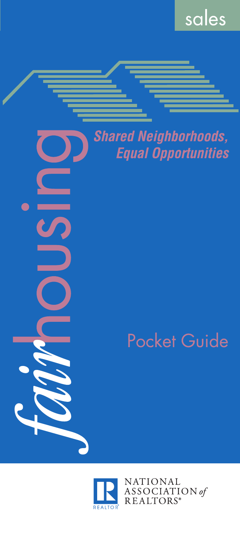

## **Shared Neighborhoods, Equal Opportunities**

# **Pocket Guide**



LS

NATIONAL ASSOCIATION of<br>REALTORS®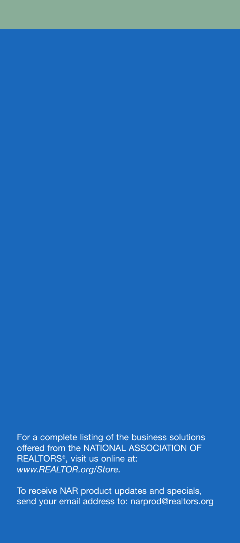For a complete listing of the business solutions offered from the NATIONAL ASSOCIATION OF REALTORS®, visit us online at: *www.REALTOR.org/Store.*

To receive NAR product updates and specials, send your email address to: narprod@realtors.org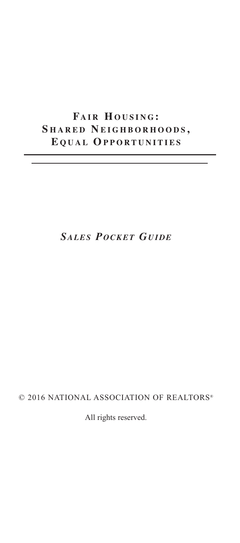### $FAIR$  HOUSING: **S H A R E D N E I G H B O R H O O D S , E Q U A L OP P O R T U N I T I E S**

### *SALES POCKET GUIDE*

#### © 2016 NATIONAL ASSOCIATION OF REALTORS®

All rights reserved.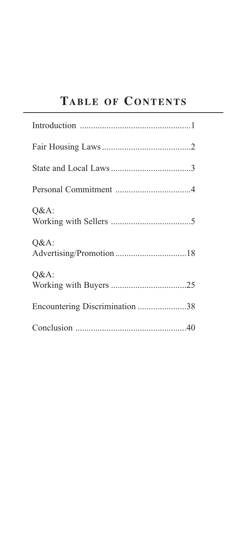### **TABLE OF CONTENTS**

| $Q&A$ :                        |
|--------------------------------|
| $Q&A$ :                        |
| $Q&A$ :                        |
| Encountering Discrimination 38 |
|                                |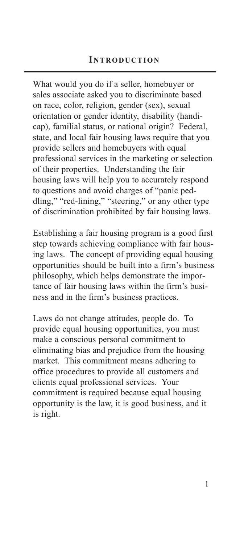What would you do if a seller, homebuyer or sales associate asked you to discriminate based on race, color, religion, gender (sex), sexual orientation or gender identity, disability (handicap), familial status, or national origin? Federal, state, and local fair housing laws require that you provide sellers and homebuyers with equal professional services in the marketing or selection of their properties. Understanding the fair housing laws will help you to accurately respond to questions and avoid charges of "panic peddling," "red-lining," "steering," or any other type of discrimination prohibited by fair housing laws.

Establishing a fair housing program is a good first step towards achieving compliance with fair housing laws. The concept of providing equal housing opportunities should be built into a firm's business philosophy, which helps demonstrate the importance of fair housing laws within the firm's business and in the firm's business practices.

Laws do not change attitudes, people do. To provide equal housing opportunities, you must make a conscious personal commitment to eliminating bias and prejudice from the housing market. This commitment means adhering to office procedures to provide all customers and clients equal professional services. Your commitment is required because equal housing opportunity is the law, it is good business, and it is right.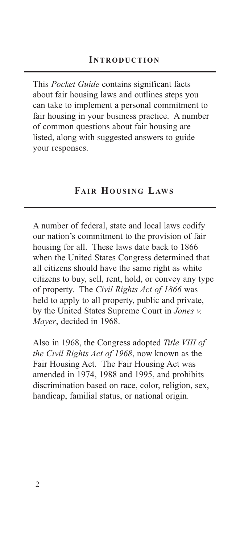This *Pocket Guide* contains significant facts about fair housing laws and outlines steps you can take to implement a personal commitment to fair housing in your business practice. A number of common questions about fair housing are listed, along with suggested answers to guide your responses.

#### **FAIR HOUSING LAWS**

A number of federal, state and local laws codify our nation's commitment to the provision of fair housing for all. These laws date back to 1866 when the United States Congress determined that all citizens should have the same right as white citizens to buy, sell, rent, hold, or convey any type of property. The *Civil Rights Act of 1866* was held to apply to all property, public and private, by the United States Supreme Court in *Jones v. Mayer*, decided in 1968.

Also in 1968, the Congress adopted *Title VIII of the Civil Rights Act of 1968*, now known as the Fair Housing Act. The Fair Housing Act was amended in 1974, 1988 and 1995, and prohibits discrimination based on race, color, religion, sex, handicap, familial status, or national origin.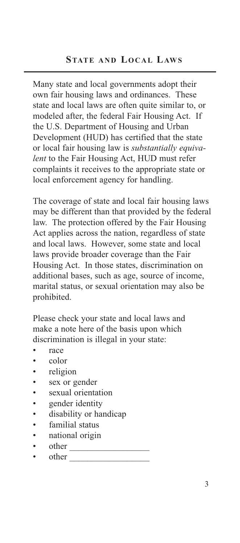Many state and local governments adopt their own fair housing laws and ordinances. These state and local laws are often quite similar to, or modeled after, the federal Fair Housing Act. If the U.S. Department of Housing and Urban Development (HUD) has certified that the state or local fair housing law is *substantially equivalent* to the Fair Housing Act, HUD must refer complaints it receives to the appropriate state or local enforcement agency for handling.

The coverage of state and local fair housing laws may be different than that provided by the federal law. The protection offered by the Fair Housing Act applies across the nation, regardless of state and local laws. However, some state and local laws provide broader coverage than the Fair Housing Act. In those states, discrimination on additional bases, such as age, source of income, marital status, or sexual orientation may also be prohibited.

Please check your state and local laws and make a note here of the basis upon which discrimination is illegal in your state:

- race
- color
- religion
- sex or gender
- sexual orientation
- gender identity
- disability or handicap
- familial status
- national origin
- other  $\_$
- other  $\overline{\phantom{a} \phantom{a} \phantom{a}}$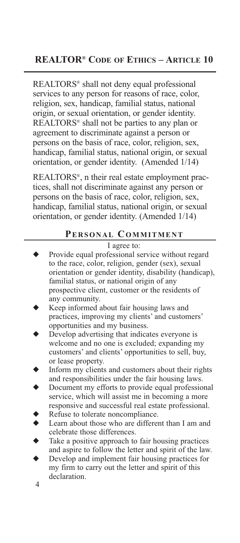REALTORS® shall not deny equal professional services to any person for reasons of race, color, religion, sex, handicap, familial status, national origin, or sexual orientation, or gender identity. REALTORS® shall not be parties to any plan or agreement to discriminate against a person or persons on the basis of race, color, religion, sex, handicap, familial status, national origin, or sexual orientation, or gender identity. (Amended 1/14)

REALTORS®, n their real estate employment practices, shall not discriminate against any person or persons on the basis of race, color, religion, sex, handicap, familial status, national origin, or sexual orientation, or gender identity. (Amended 1/14)

#### **PERSONAL COMMITMENT**

#### I agree to:

- Provide equal professional service without regard to the race, color, religion, gender (sex), sexual orientation or gender identity, disability (handicap), familial status, or national origin of any prospective client, customer or the residents of any community.
- Keep informed about fair housing laws and practices, improving my clients' and customers' opportunities and my business.
- Develop advertising that indicates everyone is welcome and no one is excluded; expanding my customers' and clients' opportunities to sell, buy, or lease property.
- Inform my clients and customers about their rights and responsibilities under the fair housing laws.
- Document my efforts to provide equal professional service, which will assist me in becoming a more responsive and successful real estate professional.
- Refuse to tolerate noncompliance.
- ◆ Learn about those who are different than I am and celebrate those differences.
- Take a positive approach to fair housing practices and aspire to follow the letter and spirit of the law.
- 4 Develop and implement fair housing practices for my firm to carry out the letter and spirit of this declaration.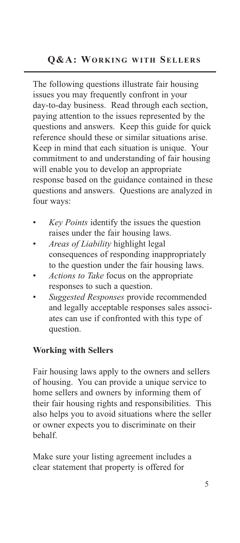#### **Q&A: WORKING WITH SELLERS**

The following questions illustrate fair housing issues you may frequently confront in your day-to-day business. Read through each section, paying attention to the issues represented by the questions and answers. Keep this guide for quick reference should these or similar situations arise. Keep in mind that each situation is unique. Your commitment to and understanding of fair housing will enable you to develop an appropriate response based on the guidance contained in these questions and answers. Questions are analyzed in four ways:

- *• Key Points* identify the issues the question raises under the fair housing laws.
- *• Areas of Liability* highlight legal consequences of responding inappropriately to the question under the fair housing laws.
- *• Actions to Take* focus on the appropriate responses to such a question.
- *• Suggested Responses* provide recommended and legally acceptable responses sales associates can use if confronted with this type of question.

#### **Working with Sellers**

Fair housing laws apply to the owners and sellers of housing. You can provide a unique service to home sellers and owners by informing them of their fair housing rights and responsibilities. This also helps you to avoid situations where the seller or owner expects you to discriminate on their behalf.

Make sure your listing agreement includes a clear statement that property is offered for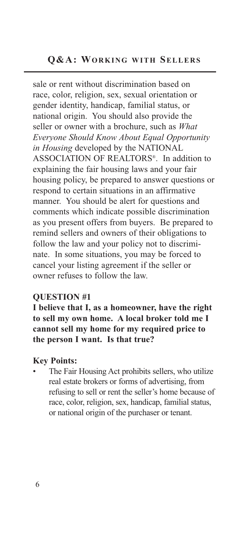sale or rent without discrimination based on race, color, religion, sex, sexual orientation or gender identity, handicap, familial status, or national origin. You should also provide the seller or owner with a brochure, such as *What Everyone Should Know About Equal Opportunity in Housing* developed by the NATIONAL ASSOCIATION OF REALTORS®. In addition to explaining the fair housing laws and your fair housing policy, be prepared to answer questions or respond to certain situations in an affirmative manner. You should be alert for questions and comments which indicate possible discrimination as you present offers from buyers. Be prepared to remind sellers and owners of their obligations to follow the law and your policy not to discriminate. In some situations, you may be forced to cancel your listing agreement if the seller or owner refuses to follow the law.

#### **QUESTION #1**

**I believe that I, as a homeowner, have the right to sell my own home. A local broker told me I cannot sell my home for my required price to the person I want. Is that true?**

#### **Key Points:**

The Fair Housing Act prohibits sellers, who utilize real estate brokers or forms of advertising, from refusing to sell or rent the seller's home because of race, color, religion, sex, handicap, familial status, or national origin of the purchaser or tenant.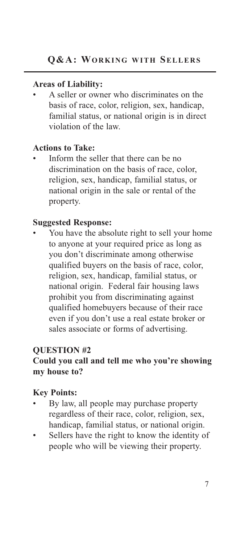*•* A seller or owner who discriminates on the basis of race, color, religion, sex, handicap, familial status, or national origin is in direct violation of the law.

#### **Actions to Take:**

*•* Inform the seller that there can be no discrimination on the basis of race, color, religion, sex, handicap, familial status, or national origin in the sale or rental of the property.

#### **Suggested Response:**

You have the absolute right to sell your home to anyone at your required price as long as you don't discriminate among otherwise qualified buyers on the basis of race, color, religion, sex, handicap, familial status, or national origin. Federal fair housing laws prohibit you from discriminating against qualified homebuyers because of their race even if you don't use a real estate broker or sales associate or forms of advertising.

#### **QUESTION #2**

#### **Could you call and tell me who you're showing my house to?**

- *•* By law, all people may purchase property regardless of their race, color, religion, sex, handicap, familial status, or national origin.
- *•* Sellers have the right to know the identity of people who will be viewing their property.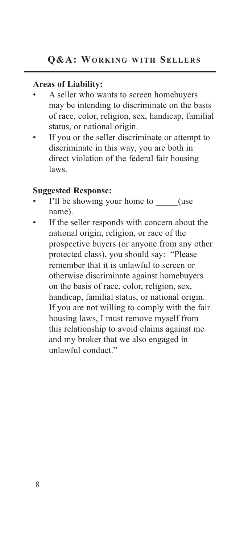- *•* A seller who wants to screen homebuyers may be intending to discriminate on the basis of race, color, religion, sex, handicap, familial status, or national origin.
- If you or the seller discriminate or attempt to discriminate in this way, you are both in direct violation of the federal fair housing laws.

#### **Suggested Response:**

- I'll be showing your home to  $($ use name).
- If the seller responds with concern about the national origin, religion, or race of the prospective buyers (or anyone from any other protected class), you should say: "Please remember that it is unlawful to screen or otherwise discriminate against homebuyers on the basis of race, color, religion, sex, handicap, familial status, or national origin. If you are not willing to comply with the fair housing laws, I must remove myself from this relationship to avoid claims against me and my broker that we also engaged in unlawful conduct."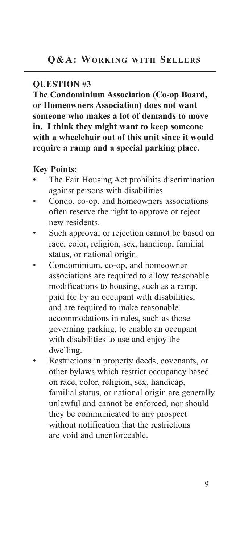#### **QUESTION #3**

**The Condominium Association (Co-op Board, or Homeowners Association) does not want someone who makes a lot of demands to move in. I think they might want to keep someone with a wheelchair out of this unit since it would require a ramp and a special parking place.**

- *•* The Fair Housing Act prohibits discrimination against persons with disabilities.
- *•* Condo, co-op, and homeowners associations often reserve the right to approve or reject new residents.
- Such approval or rejection cannot be based on race, color, religion, sex, handicap, familial status, or national origin.
- *•* Condominium, co-op, and homeowner associations are required to allow reasonable modifications to housing, such as a ramp, paid for by an occupant with disabilities, and are required to make reasonable accommodations in rules, such as those governing parking, to enable an occupant with disabilities to use and enjoy the dwelling.
- *•* Restrictions in property deeds, covenants, or other bylaws which restrict occupancy based on race, color, religion, sex, handicap, familial status, or national origin are generally unlawful and cannot be enforced, nor should they be communicated to any prospect without notification that the restrictions are void and unenforceable.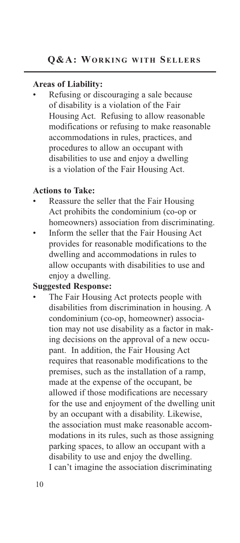*•* Refusing or discouraging a sale because of disability is a violation of the Fair Housing Act. Refusing to allow reasonable modifications or refusing to make reasonable accommodations in rules, practices, and procedures to allow an occupant with disabilities to use and enjoy a dwelling is a violation of the Fair Housing Act.

#### **Actions to Take:**

- *•* Reassure the seller that the Fair Housing Act prohibits the condominium (co-op or homeowners) association from discriminating.
- *•* Inform the seller that the Fair Housing Act provides for reasonable modifications to the dwelling and accommodations in rules to allow occupants with disabilities to use and enjoy a dwelling.

#### **Suggested Response:**

*•* The Fair Housing Act protects people with disabilities from discrimination in housing. A condominium (co-op, homeowner) association may not use disability as a factor in making decisions on the approval of a new occupant. In addition, the Fair Housing Act requires that reasonable modifications to the premises, such as the installation of a ramp, made at the expense of the occupant, be allowed if those modifications are necessary for the use and enjoyment of the dwelling unit by an occupant with a disability. Likewise, the association must make reasonable accommodations in its rules, such as those assigning parking spaces, to allow an occupant with a disability to use and enjoy the dwelling. I can't imagine the association discriminating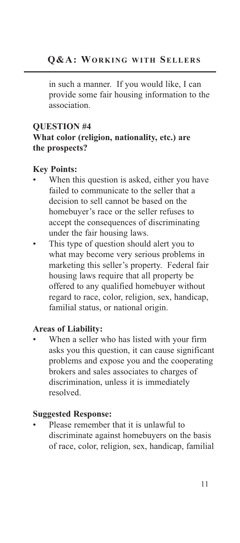in such a manner. If you would like, I can provide some fair housing information to the association.

#### **QUESTION #4 What color (religion, nationality, etc.) are the prospects?**

#### **Key Points:**

- When this question is asked, either you have failed to communicate to the seller that a decision to sell cannot be based on the homebuyer's race or the seller refuses to accept the consequences of discriminating under the fair housing laws.
- This type of question should alert you to what may become very serious problems in marketing this seller's property. Federal fair housing laws require that all property be offered to any qualified homebuyer without regard to race, color, religion, sex, handicap, familial status, or national origin.

#### **Areas of Liability:**

*•* When a seller who has listed with your firm asks you this question, it can cause significant problems and expose you and the cooperating brokers and sales associates to charges of discrimination, unless it is immediately resolved.

#### **Suggested Response:**

*•* Please remember that it is unlawful to discriminate against homebuyers on the basis of race, color, religion, sex, handicap, familial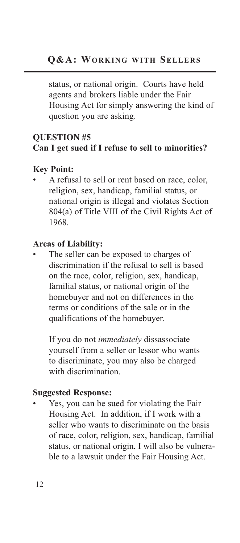status, or national origin. Courts have held agents and brokers liable under the Fair Housing Act for simply answering the kind of question you are asking.

#### **QUESTION #5 Can I get sued if I refuse to sell to minorities?**

#### **Key Point:**

*•* A refusal to sell or rent based on race, color, religion, sex, handicap, familial status, or national origin is illegal and violates Section 804(a) of Title VIII of the Civil Rights Act of 1968.

#### **Areas of Liability:**

The seller can be exposed to charges of discrimination if the refusal to sell is based on the race, color, religion, sex, handicap, familial status, or national origin of the homebuyer and not on differences in the terms or conditions of the sale or in the qualifications of the homebuyer.

If you do not *immediately* dissassociate yourself from a seller or lessor who wants to discriminate, you may also be charged with discrimination.

#### **Suggested Response:**

*•* Yes, you can be sued for violating the Fair Housing Act. In addition, if I work with a seller who wants to discriminate on the basis of race, color, religion, sex, handicap, familial status, or national origin, I will also be vulnerable to a lawsuit under the Fair Housing Act.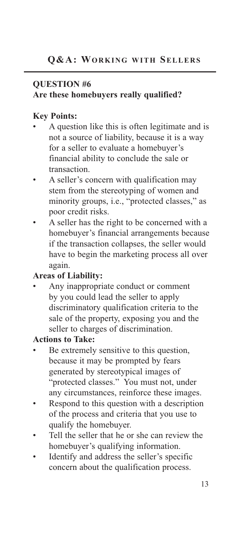#### **QUESTION #6**

#### **Are these homebuyers really qualified?**

#### **Key Points:**

- *•* A question like this is often legitimate and is not a source of liability, because it is a way for a seller to evaluate a homebuyer's financial ability to conclude the sale or transaction.
- *•* A seller's concern with qualification may stem from the stereotyping of women and minority groups, i.e., "protected classes," as poor credit risks.
- *•* A seller has the right to be concerned with a homebuyer's financial arrangements because if the transaction collapses, the seller would have to begin the marketing process all over again.

#### **Areas of Liability:**

*•* Any inappropriate conduct or comment by you could lead the seller to apply discriminatory qualification criteria to the sale of the property, exposing you and the seller to charges of discrimination.

#### **Actions to Take:**

- Be extremely sensitive to this question, because it may be prompted by fears generated by stereotypical images of "protected classes." You must not, under any circumstances, reinforce these images.
- *•* Respond to this question with a description of the process and criteria that you use to qualify the homebuyer.
- *•* Tell the seller that he or she can review the homebuyer's qualifying information.
- *•* Identify and address the seller's specific concern about the qualification process.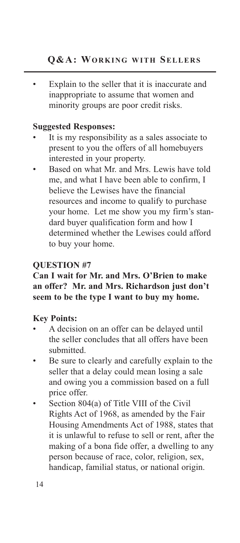Explain to the seller that it is inaccurate and inappropriate to assume that women and minority groups are poor credit risks.

#### **Suggested Responses:**

- It is my responsibility as a sales associate to present to you the offers of all homebuyers interested in your property.
- *•* Based on what Mr. and Mrs. Lewis have told me, and what I have been able to confirm, I believe the Lewises have the financial resources and income to qualify to purchase your home. Let me show you my firm's standard buyer qualification form and how I determined whether the Lewises could afford to buy your home.

#### **QUESTION #7**

#### **Can I wait for Mr. and Mrs. O'Brien to make an offer? Mr. and Mrs. Richardson just don't seem to be the type I want to buy my home.**

- *•* A decision on an offer can be delayed until the seller concludes that all offers have been submitted.
- Be sure to clearly and carefully explain to the seller that a delay could mean losing a sale and owing you a commission based on a full price offer.
- *•* Section 804(a) of Title VIII of the Civil Rights Act of 1968, as amended by the Fair Housing Amendments Act of 1988, states that it is unlawful to refuse to sell or rent, after the making of a bona fide offer, a dwelling to any person because of race, color, religion, sex, handicap, familial status, or national origin.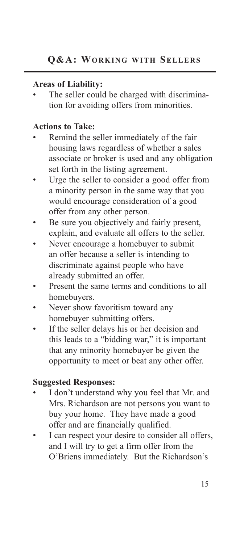The seller could be charged with discrimination for avoiding offers from minorities.

#### **Actions to Take:**

- *•* Remind the seller immediately of the fair housing laws regardless of whether a sales associate or broker is used and any obligation set forth in the listing agreement.
- Urge the seller to consider a good offer from a minority person in the same way that you would encourage consideration of a good offer from any other person.
- Be sure you objectively and fairly present, explain, and evaluate all offers to the seller.
- *•* Never encourage a homebuyer to submit an offer because a seller is intending to discriminate against people who have already submitted an offer.
- Present the same terms and conditions to all homebuyers.
- Never show favoritism toward any homebuyer submitting offers.
- If the seller delays his or her decision and this leads to a "bidding war," it is important that any minority homebuyer be given the opportunity to meet or beat any other offer.

#### **Suggested Responses:**

- *•* I don't understand why you feel that Mr. and Mrs. Richardson are not persons you want to buy your home. They have made a good offer and are financially qualified.
- I can respect your desire to consider all offers, and I will try to get a firm offer from the O'Briens immediately. But the Richardson's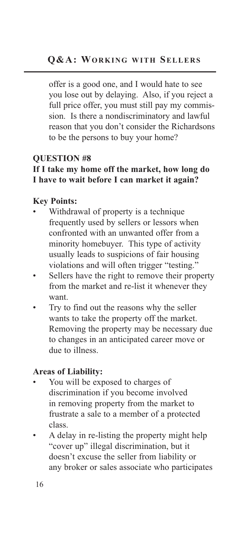offer is a good one, and I would hate to see you lose out by delaying. Also, if you reject a full price offer, you must still pay my commission. Is there a nondiscriminatory and lawful reason that you don't consider the Richardsons to be the persons to buy your home?

#### **QUESTION #8**

#### **If I take my home off the market, how long do I have to wait before I can market it again?**

#### **Key Points:**

- *•* Withdrawal of property is a technique frequently used by sellers or lessors when confronted with an unwanted offer from a minority homebuyer. This type of activity usually leads to suspicions of fair housing violations and will often trigger "testing."
- Sellers have the right to remove their property from the market and re-list it whenever they want.
- *•* Try to find out the reasons why the seller wants to take the property off the market. Removing the property may be necessary due to changes in an anticipated career move or due to illness.

#### **Areas of Liability:**

- *•* You will be exposed to charges of discrimination if you become involved in removing property from the market to frustrate a sale to a member of a protected class.
- *•* A delay in re-listing the property might help "cover up" illegal discrimination, but it doesn't excuse the seller from liability or any broker or sales associate who participates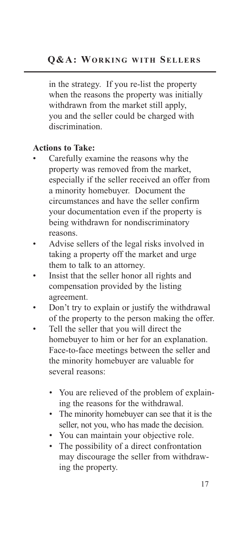in the strategy. If you re-list the property when the reasons the property was initially withdrawn from the market still apply, you and the seller could be charged with discrimination.

#### **Actions to Take:**

- *•* Carefully examine the reasons why the property was removed from the market, especially if the seller received an offer from a minority homebuyer. Document the circumstances and have the seller confirm your documentation even if the property is being withdrawn for nondiscriminatory reasons.
- *•* Advise sellers of the legal risks involved in taking a property off the market and urge them to talk to an attorney.
- *•* Insist that the seller honor all rights and compensation provided by the listing agreement.
- Don't try to explain or justify the withdrawal of the property to the person making the offer.
- *•* Tell the seller that you will direct the homebuyer to him or her for an explanation. Face-to-face meetings between the seller and the minority homebuyer are valuable for several reasons:
	- *•* You are relieved of the problem of explaining the reasons for the withdrawal.
	- *•* The minority homebuyer can see that it is the seller, not you, who has made the decision.
	- *•* You can maintain your objective role.
	- *•* The possibility of a direct confrontation may discourage the seller from withdrawing the property.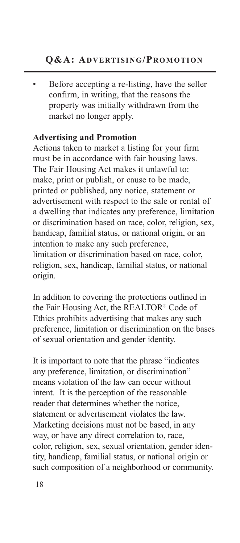*•* Before accepting a re-listing, have the seller confirm, in writing, that the reasons the property was initially withdrawn from the market no longer apply.

#### **Advertising and Promotion**

Actions taken to market a listing for your firm must be in accordance with fair housing laws. The Fair Housing Act makes it unlawful to: make, print or publish, or cause to be made, printed or published, any notice, statement or advertisement with respect to the sale or rental of a dwelling that indicates any preference, limitation or discrimination based on race, color, religion, sex, handicap, familial status, or national origin, or an intention to make any such preference, limitation or discrimination based on race, color, religion, sex, handicap, familial status, or national origin.

In addition to covering the protections outlined in the Fair Housing Act, the REALTOR® Code of Ethics prohibits advertising that makes any such preference, limitation or discrimination on the bases of sexual orientation and gender identity.

It is important to note that the phrase "indicates any preference, limitation, or discrimination" means violation of the law can occur without intent. It is the perception of the reasonable reader that determines whether the notice, statement or advertisement violates the law. Marketing decisions must not be based, in any way, or have any direct correlation to, race, color, religion, sex, sexual orientation, gender identity, handicap, familial status, or national origin or such composition of a neighborhood or community.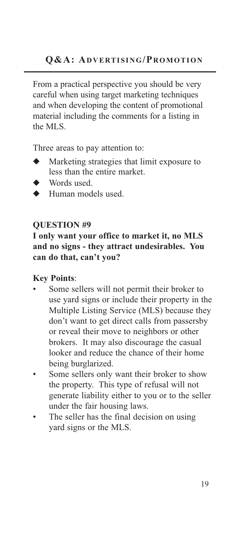From a practical perspective you should be very careful when using target marketing techniques and when developing the content of promotional material including the comments for a listing in the MLS.

Three areas to pay attention to:

- Marketing strategies that limit exposure to less than the entire market.
- Words used.
- ◆ Human models used.

#### **QUESTION #9**

**I only want your office to market it, no MLS and no signs - they attract undesirables. You can do that, can't you?**

- Some sellers will not permit their broker to use yard signs or include their property in the Multiple Listing Service (MLS) because they don't want to get direct calls from passersby or reveal their move to neighbors or other brokers. It may also discourage the casual looker and reduce the chance of their home being burglarized.
- Some sellers only want their broker to show the property. This type of refusal will not generate liability either to you or to the seller under the fair housing laws.
- The seller has the final decision on using yard signs or the MLS.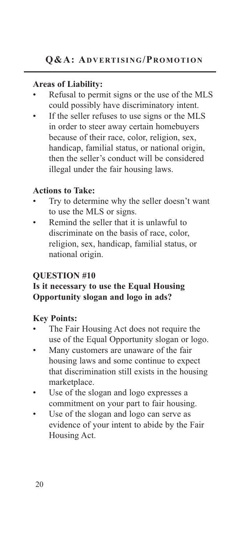- *•* Refusal to permit signs or the use of the MLS could possibly have discriminatory intent.
- If the seller refuses to use signs or the MLS in order to steer away certain homebuyers because of their race, color, religion, sex, handicap, familial status, or national origin, then the seller's conduct will be considered illegal under the fair housing laws.

#### **Actions to Take:**

- Try to determine why the seller doesn't want to use the MLS or signs.
- Remind the seller that it is unlawful to discriminate on the basis of race, color, religion, sex, handicap, familial status, or national origin.

#### **QUESTION #10**

#### **Is it necessary to use the Equal Housing Opportunity slogan and logo in ads?**

- *•* The Fair Housing Act does not require the use of the Equal Opportunity slogan or logo.
- *•* Many customers are unaware of the fair housing laws and some continue to expect that discrimination still exists in the housing marketplace.
- Use of the slogan and logo expresses a commitment on your part to fair housing.
- Use of the slogan and logo can serve as evidence of your intent to abide by the Fair Housing Act.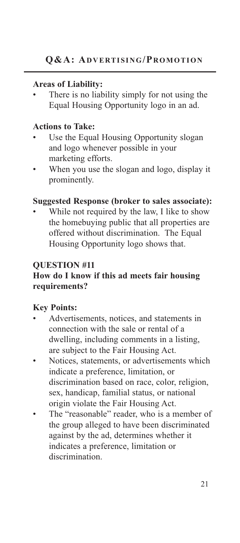There is no liability simply for not using the Equal Housing Opportunity logo in an ad.

#### **Actions to Take:**

- Use the Equal Housing Opportunity slogan and logo whenever possible in your marketing efforts.
- *•* When you use the slogan and logo, display it prominently.

#### **Suggested Response (broker to sales associate):**

While not required by the law, I like to show the homebuying public that all properties are offered without discrimination. The Equal Housing Opportunity logo shows that.

#### **QUESTION #11**

#### **How do I know if this ad meets fair housing requirements?**

- *•* Advertisements, notices, and statements in connection with the sale or rental of a dwelling, including comments in a listing, are subject to the Fair Housing Act.
- *•* Notices, statements, or advertisements which indicate a preference, limitation, or discrimination based on race, color, religion, sex, handicap, familial status, or national origin violate the Fair Housing Act.
- The "reasonable" reader, who is a member of the group alleged to have been discriminated against by the ad, determines whether it indicates a preference, limitation or discrimination.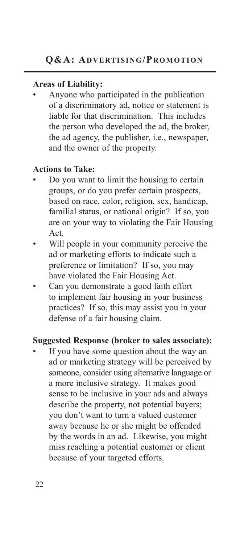*•* Anyone who participated in the publication of a discriminatory ad, notice or statement is liable for that discrimination. This includes the person who developed the ad, the broker, the ad agency, the publisher, i.e., newspaper, and the owner of the property.

#### **Actions to Take:**

- *•* Do you want to limit the housing to certain groups, or do you prefer certain prospects, based on race, color, religion, sex, handicap, familial status, or national origin? If so, you are on your way to violating the Fair Housing Act.
- *•* Will people in your community perceive the ad or marketing efforts to indicate such a preference or limitation? If so, you may have violated the Fair Housing Act.
- *•* Can you demonstrate a good faith effort to implement fair housing in your business practices? If so, this may assist you in your defense of a fair housing claim.

#### **Suggested Response (broker to sales associate):**

If you have some question about the way an ad or marketing strategy will be perceived by someone, consider using alternative language or a more inclusive strategy. It makes good sense to be inclusive in your ads and always describe the property, not potential buyers; you don't want to turn a valued customer away because he or she might be offended by the words in an ad. Likewise, you might miss reaching a potential customer or client because of your targeted efforts.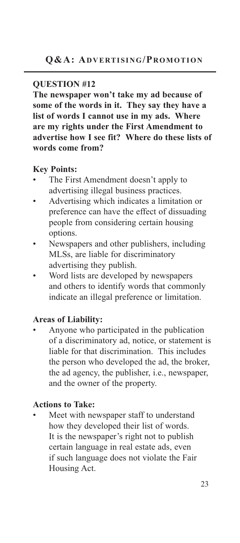#### **QUESTION #12**

**The newspaper won't take my ad because of some of the words in it. They say they have a list of words I cannot use in my ads. Where are my rights under the First Amendment to advertise how I see fit? Where do these lists of words come from?**

#### **Key Points:**

- *•* The First Amendment doesn't apply to advertising illegal business practices.
- *•* Advertising which indicates a limitation or preference can have the effect of dissuading people from considering certain housing options.
- *•* Newspapers and other publishers, including MLSs, are liable for discriminatory advertising they publish.
- *•* Word lists are developed by newspapers and others to identify words that commonly indicate an illegal preference or limitation.

#### **Areas of Liability:**

*•* Anyone who participated in the publication of a discriminatory ad, notice, or statement is liable for that discrimination. This includes the person who developed the ad, the broker, the ad agency, the publisher, i.e., newspaper, and the owner of the property.

#### **Actions to Take:**

*•* Meet with newspaper staff to understand how they developed their list of words. It is the newspaper's right not to publish certain language in real estate ads, even if such language does not violate the Fair Housing Act.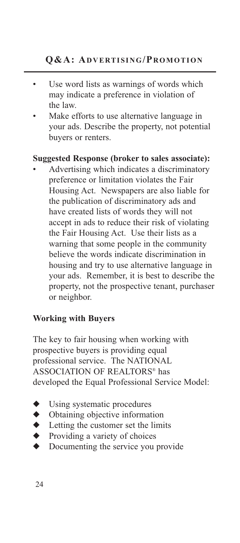- *•* Use word lists as warnings of words which may indicate a preference in violation of the law.
- *•* Make efforts to use alternative language in your ads. Describe the property, not potential buyers or renters.

#### **Suggested Response (broker to sales associate):**

*•* Advertising which indicates a discriminatory preference or limitation violates the Fair Housing Act. Newspapers are also liable for the publication of discriminatory ads and have created lists of words they will not accept in ads to reduce their risk of violating the Fair Housing Act. Use their lists as a warning that some people in the community believe the words indicate discrimination in housing and try to use alternative language in your ads. Remember, it is best to describe the property, not the prospective tenant, purchaser or neighbor.

#### **Working with Buyers**

The key to fair housing when working with prospective buyers is providing equal professional service. The NATIONAL ASSOCIATION OF REALTORS® has developed the Equal Professional Service Model:

- Using systematic procedures
- ◆ Obtaining objective information
- ◆ Letting the customer set the limits
- ◆ Providing a variety of choices<br>◆ Documenting the service you
- Documenting the service you provide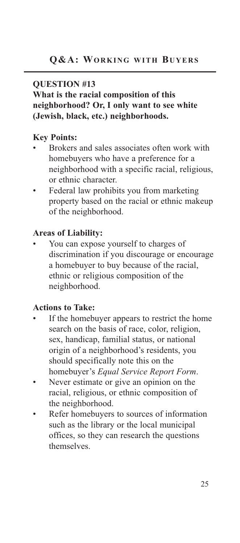#### **QUESTION #13**

#### **What is the racial composition of this neighborhood? Or, I only want to see white (Jewish, black, etc.) neighborhoods.**

#### **Key Points:**

- *•* Brokers and sales associates often work with homebuyers who have a preference for a neighborhood with a specific racial, religious, or ethnic character.
- *•* Federal law prohibits you from marketing property based on the racial or ethnic makeup of the neighborhood.

#### **Areas of Liability:**

*•* You can expose yourself to charges of discrimination if you discourage or encourage a homebuyer to buy because of the racial, ethnic or religious composition of the neighborhood.

#### **Actions to Take:**

- If the homebuyer appears to restrict the home search on the basis of race, color, religion, sex, handicap, familial status, or national origin of a neighborhood's residents, you should specifically note this on the homebuyer's *Equal Service Report Form*.
- *•* Never estimate or give an opinion on the racial, religious, or ethnic composition of the neighborhood.
- *•* Refer homebuyers to sources of information such as the library or the local municipal offices, so they can research the questions themselves.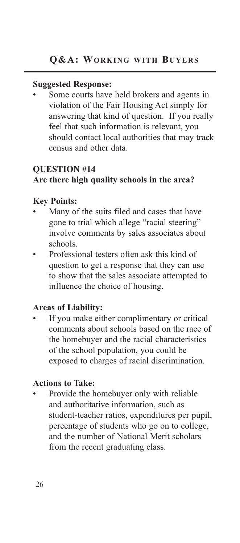#### **Suggested Response:**

Some courts have held brokers and agents in violation of the Fair Housing Act simply for answering that kind of question. If you really feel that such information is relevant, you should contact local authorities that may track census and other data.

#### **QUESTION #14 Are there high quality schools in the area?**

#### **Key Points:**

- *•* Many of the suits filed and cases that have gone to trial which allege "racial steering" involve comments by sales associates about schools.
- *•* Professional testers often ask this kind of question to get a response that they can use to show that the sales associate attempted to influence the choice of housing.

#### **Areas of Liability:**

*•* If you make either complimentary or critical comments about schools based on the race of the homebuyer and the racial characteristics of the school population, you could be exposed to charges of racial discrimination.

#### **Actions to Take:**

*•* Provide the homebuyer only with reliable and authoritative information, such as student-teacher ratios, expenditures per pupil, percentage of students who go on to college, and the number of National Merit scholars from the recent graduating class.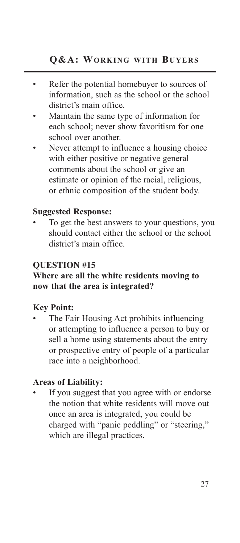- *•* Refer the potential homebuyer to sources of information, such as the school or the school district's main office.
- *•* Maintain the same type of information for each school; never show favoritism for one school over another.
- Never attempt to influence a housing choice with either positive or negative general comments about the school or give an estimate or opinion of the racial, religious, or ethnic composition of the student body.

#### **Suggested Response:**

*•* To get the best answers to your questions, you should contact either the school or the school district's main office.

#### **QUESTION #15**

#### **Where are all the white residents moving to now that the area is integrated?**

#### **Key Point:**

*•* The Fair Housing Act prohibits influencing or attempting to influence a person to buy or sell a home using statements about the entry or prospective entry of people of a particular race into a neighborhood.

#### **Areas of Liability:**

If you suggest that you agree with or endorse the notion that white residents will move out once an area is integrated, you could be charged with "panic peddling" or "steering," which are illegal practices.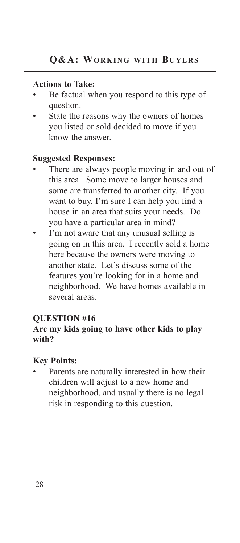#### **Actions to Take:**

- *•* Be factual when you respond to this type of question.
- State the reasons why the owners of homes you listed or sold decided to move if you know the answer.

#### **Suggested Responses:**

- There are always people moving in and out of this area. Some move to larger houses and some are transferred to another city. If you want to buy, I'm sure I can help you find a house in an area that suits your needs. Do you have a particular area in mind?
- I'm not aware that any unusual selling is going on in this area. I recently sold a home here because the owners were moving to another state. Let's discuss some of the features you're looking for in a home and neighborhood. We have homes available in several areas.

#### **QUESTION #16**

#### **Are my kids going to have other kids to play with?**

#### **Key Points:**

Parents are naturally interested in how their children will adjust to a new home and neighborhood, and usually there is no legal risk in responding to this question.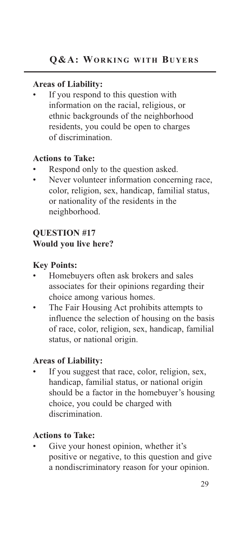*•* If you respond to this question with information on the racial, religious, or ethnic backgrounds of the neighborhood residents, you could be open to charges of discrimination.

#### **Actions to Take:**

- *•* Respond only to the question asked.
- Never volunteer information concerning race, color, religion, sex, handicap, familial status, or nationality of the residents in the neighborhood.

#### **QUESTION #17 Would you live here?**

#### **Key Points:**

- *•* Homebuyers often ask brokers and sales associates for their opinions regarding their choice among various homes.
- *•* The Fair Housing Act prohibits attempts to influence the selection of housing on the basis of race, color, religion, sex, handicap, familial status, or national origin.

#### **Areas of Liability:**

If you suggest that race, color, religion, sex, handicap, familial status, or national origin should be a factor in the homebuyer's housing choice, you could be charged with discrimination.

#### **Actions to Take:**

Give your honest opinion, whether it's positive or negative, to this question and give a nondiscriminatory reason for your opinion.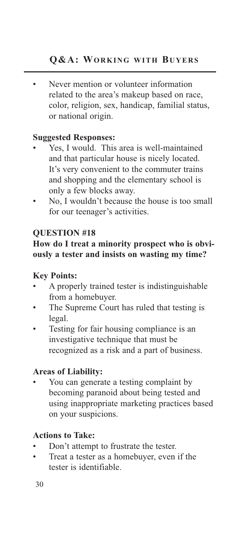*•* Never mention or volunteer information related to the area's makeup based on race, color, religion, sex, handicap, familial status, or national origin.

#### **Suggested Responses:**

- *•* Yes, I would. This area is well-maintained and that particular house is nicely located. It's very convenient to the commuter trains and shopping and the elementary school is only a few blocks away.
- No, I wouldn't because the house is too small for our teenager's activities.

#### **QUESTION #18**

#### **How do I treat a minority prospect who is obviously a tester and insists on wasting my time?**

#### **Key Points:**

- *•* A properly trained tester is indistinguishable from a homebuyer.
- The Supreme Court has ruled that testing is legal.
- *•* Testing for fair housing compliance is an investigative technique that must be recognized as a risk and a part of business.

#### **Areas of Liability:**

*•* You can generate a testing complaint by becoming paranoid about being tested and using inappropriate marketing practices based on your suspicions.

#### **Actions to Take:**

- Don't attempt to frustrate the tester.
- *•* Treat a tester as a homebuyer, even if the tester is identifiable.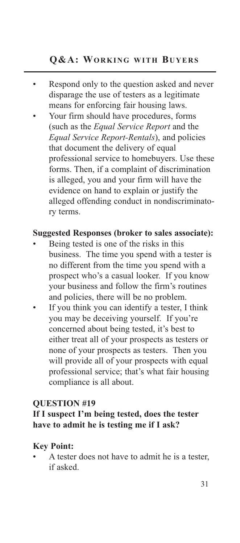- *•* Respond only to the question asked and never disparage the use of testers as a legitimate means for enforcing fair housing laws.
- *•* Your firm should have procedures, forms (such as the *Equal Service Report* and the *Equal Service Report-Rentals*), and policies that document the delivery of equal professional service to homebuyers. Use these forms. Then, if a complaint of discrimination is alleged, you and your firm will have the evidence on hand to explain or justify the alleged offending conduct in nondiscriminatory terms.

#### **Suggested Responses (broker to sales associate):**

- *•* Being tested is one of the risks in this business. The time you spend with a tester is no different from the time you spend with a prospect who's a casual looker. If you know your business and follow the firm's routines and policies, there will be no problem.
- If you think you can identify a tester, I think you may be deceiving yourself. If you're concerned about being tested, it's best to either treat all of your prospects as testers or none of your prospects as testers. Then you will provide all of your prospects with equal professional service; that's what fair housing compliance is all about.

#### **QUESTION #19**

#### **If I suspect I'm being tested, does the tester have to admit he is testing me if I ask?**

#### **Key Point:**

*•* A tester does not have to admit he is a tester, if asked.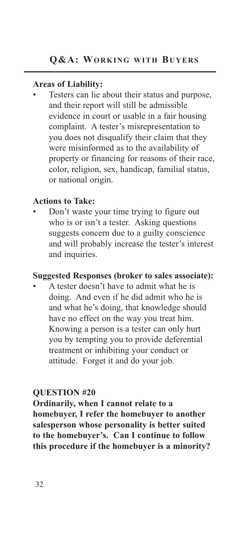Testers can lie about their status and purpose, and their report will still be admissible evidence in court or usable in a fair housing complaint. A tester's misrepresentation to you does not disqualify their claim that they were misinformed as to the availability of property or financing for reasons of their race, color, religion, sex, handicap, familial status, or national origin.

#### **Actions to Take:**

*•* Don't waste your time trying to figure out who is or isn't a tester. Asking questions suggests concern due to a guilty conscience and will probably increase the tester's interest and inquiries.

#### **Suggested Responses (broker to sales associate):**

*•* A tester doesn't have to admit what he is doing. And even if he did admit who he is and what he's doing, that knowledge should have no effect on the way you treat him. Knowing a person is a tester can only hurt you by tempting you to provide deferential treatment or inhibiting your conduct or attitude. Forget it and do your job.

#### **QUESTION #20**

**Ordinarily, when I cannot relate to a homebuyer, I refer the homebuyer to another salesperson whose personality is better suited to the homebuyer's. Can I continue to follow this procedure if the homebuyer is a minority?**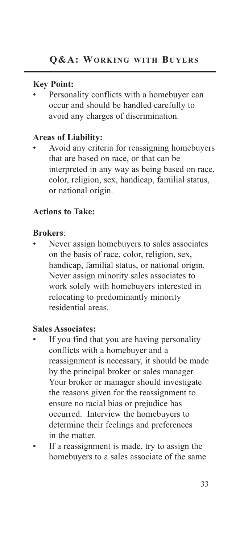#### **Key Point:**

Personality conflicts with a homebuyer can occur and should be handled carefully to avoid any charges of discrimination.

#### **Areas of Liability:**

*•* Avoid any criteria for reassigning homebuyers that are based on race, or that can be interpreted in any way as being based on race, color, religion, sex, handicap, familial status, or national origin.

#### **Actions to Take:**

#### **Brokers**:

*•* Never assign homebuyers to sales associates on the basis of race, color, religion, sex, handicap, familial status, or national origin. Never assign minority sales associates to work solely with homebuyers interested in relocating to predominantly minority residential areas.

#### **Sales Associates:**

- *•* If you find that you are having personality conflicts with a homebuyer and a reassignment is necessary, it should be made by the principal broker or sales manager. Your broker or manager should investigate the reasons given for the reassignment to ensure no racial bias or prejudice has occurred. Interview the homebuyers to determine their feelings and preferences in the matter.
- If a reassignment is made, try to assign the homebuyers to a sales associate of the same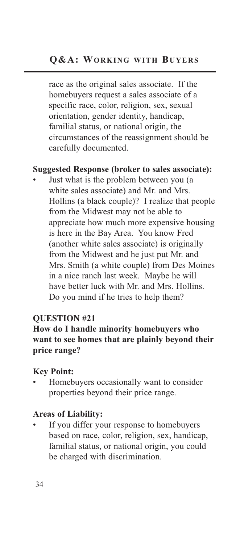race as the original sales associate. If the homebuyers request a sales associate of a specific race, color, religion, sex, sexual orientation, gender identity, handicap, familial status, or national origin, the circumstances of the reassignment should be carefully documented.

#### **Suggested Response (broker to sales associate):**

*•* Just what is the problem between you (a white sales associate) and Mr. and Mrs. Hollins (a black couple)? I realize that people from the Midwest may not be able to appreciate how much more expensive housing is here in the Bay Area. You know Fred (another white sales associate) is originally from the Midwest and he just put Mr. and Mrs. Smith (a white couple) from Des Moines in a nice ranch last week. Maybe he will have better luck with Mr. and Mrs. Hollins. Do you mind if he tries to help them?

#### **QUESTION #21**

#### **How do I handle minority homebuyers who want to see homes that are plainly beyond their price range?**

#### **Key Point:**

*•* Homebuyers occasionally want to consider properties beyond their price range.

#### **Areas of Liability:**

*•* If you differ your response to homebuyers based on race, color, religion, sex, handicap, familial status, or national origin, you could be charged with discrimination.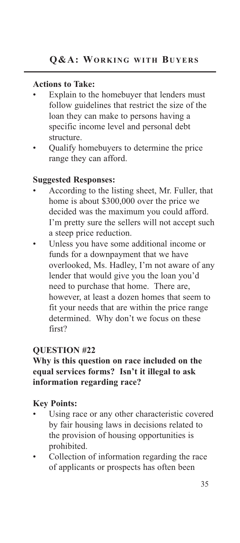#### **Actions to Take:**

- Explain to the homebuyer that lenders must follow guidelines that restrict the size of the loan they can make to persons having a specific income level and personal debt structure.
- *•* Qualify homebuyers to determine the price range they can afford.

#### **Suggested Responses:**

- *•* According to the listing sheet, Mr. Fuller, that home is about \$300,000 over the price we decided was the maximum you could afford. I'm pretty sure the sellers will not accept such a steep price reduction.
- *•* Unless you have some additional income or funds for a downpayment that we have overlooked, Ms. Hadley, I'm not aware of any lender that would give you the loan you'd need to purchase that home. There are, however, at least a dozen homes that seem to fit your needs that are within the price range determined. Why don't we focus on these first?

#### **QUESTION #22**

#### **Why is this question on race included on the equal services forms? Isn't it illegal to ask information regarding race?**

- Using race or any other characteristic covered by fair housing laws in decisions related to the provision of housing opportunities is prohibited.
- *•* Collection of information regarding the race of applicants or prospects has often been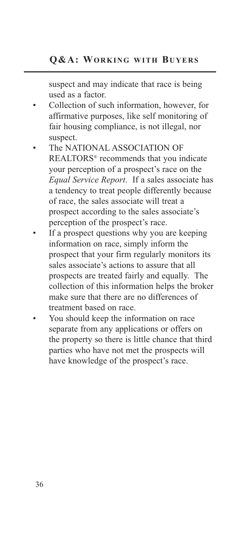suspect and may indicate that race is being used as a factor.

- *•* Collection of such information, however, for affirmative purposes, like self monitoring of fair housing compliance, is not illegal, nor suspect.
- *•* The NATIONAL ASSOCIATION OF REALTORS® recommends that you indicate your perception of a prospect's race on the *Equal Service Report*. If a sales associate has a tendency to treat people differently because of race, the sales associate will treat a prospect according to the sales associate's perception of the prospect's race.
- If a prospect questions why you are keeping information on race, simply inform the prospect that your firm regularly monitors its sales associate's actions to assure that all prospects are treated fairly and equally. The collection of this information helps the broker make sure that there are no differences of treatment based on race.
- *•* You should keep the information on race separate from any applications or offers on the property so there is little chance that third parties who have not met the prospects will have knowledge of the prospect's race.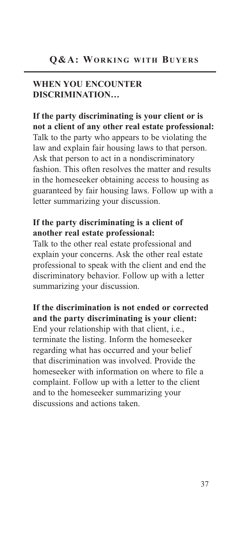#### **WHEN YOU ENCOUNTER DISCRIMINATION…**

**If the party discriminating is your client or is not a client of any other real estate professional:** Talk to the party who appears to be violating the law and explain fair housing laws to that person. Ask that person to act in a nondiscriminatory fashion. This often resolves the matter and results in the homeseeker obtaining access to housing as guaranteed by fair housing laws. Follow up with a letter summarizing your discussion.

#### **If the party discriminating is a client of another real estate professional:**

Talk to the other real estate professional and explain your concerns. Ask the other real estate professional to speak with the client and end the discriminatory behavior. Follow up with a letter summarizing your discussion.

**If the discrimination is not ended or corrected and the party discriminating is your client:** End your relationship with that client, i.e., terminate the listing. Inform the homeseeker regarding what has occurred and your belief that discrimination was involved. Provide the homeseeker with information on where to file a complaint. Follow up with a letter to the client and to the homeseeker summarizing your discussions and actions taken.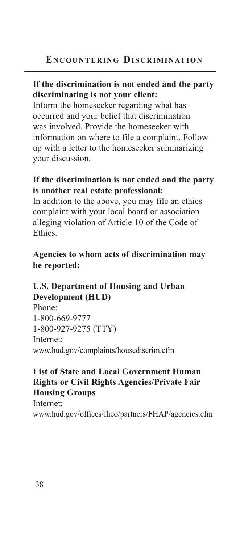#### **If the discrimination is not ended and the party discriminating is not your client:**

Inform the homeseeker regarding what has occurred and your belief that discrimination was involved. Provide the homeseeker with information on where to file a complaint. Follow up with a letter to the homeseeker summarizing your discussion.

#### **If the discrimination is not ended and the party is another real estate professional:**

In addition to the above, you may file an ethics complaint with your local board or association alleging violation of Article 10 of the Code of Ethics.

#### **Agencies to whom acts of discrimination may be reported:**

#### **U.S. Department of Housing and Urban Development (HUD)**

Phone: 1-800-669-9777 1-800-927-9275 (TTY) Internet: www.hud.gov/complaints/housediscrim.cfm

#### **List of State and Local Government Human Rights or Civil Rights Agencies/Private Fair Housing Groups**

Internet: www.hud.gov/offices/fheo/partners/FHAP/agencies.cfm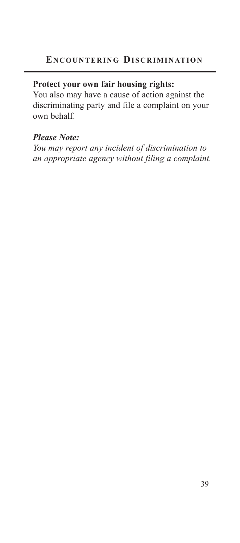#### **Protect your own fair housing rights:**

You also may have a cause of action against the discriminating party and file a complaint on your own behalf.

#### *Please Note:*

*You may report any incident of discrimination to an appropriate agency without filing a complaint.*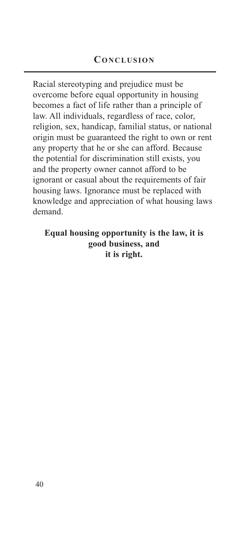Racial stereotyping and prejudice must be overcome before equal opportunity in housing becomes a fact of life rather than a principle of law. All individuals, regardless of race, color, religion, sex, handicap, familial status, or national origin must be guaranteed the right to own or rent any property that he or she can afford. Because the potential for discrimination still exists, you and the property owner cannot afford to be ignorant or casual about the requirements of fair housing laws. Ignorance must be replaced with knowledge and appreciation of what housing laws demand.

#### **Equal housing opportunity is the law, it is good business, and it is right.**